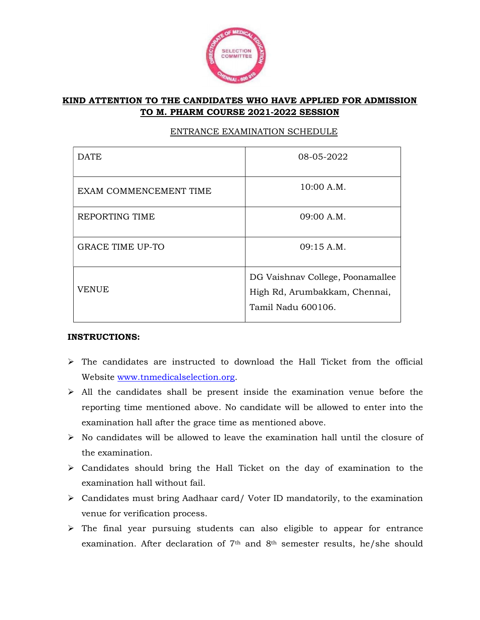

## KIND ATTENTION TO THE CANDIDATES WHO HAVE APPLIED FOR ADMISSION TO M. PHARM COURSE 2021-2022 SESSION

| <b>DATE</b>             | 08-05-2022                                                                              |
|-------------------------|-----------------------------------------------------------------------------------------|
| EXAM COMMENCEMENT TIME  | 10:00 A.M.                                                                              |
| REPORTING TIME          | 09:00 A.M.                                                                              |
| <b>GRACE TIME UP-TO</b> | 09:15 A.M.                                                                              |
| <b>VENUE</b>            | DG Vaishnav College, Poonamallee<br>High Rd, Arumbakkam, Chennai,<br>Tamil Nadu 600106. |

## ENTRANCE EXAMINATION SCHEDULE

## INSTRUCTIONS:

- $\triangleright$  The candidates are instructed to download the Hall Ticket from the official Website www.tnmedicalselection.org.
- $\triangleright$  All the candidates shall be present inside the examination venue before the reporting time mentioned above. No candidate will be allowed to enter into the examination hall after the grace time as mentioned above.
- $\triangleright$  No candidates will be allowed to leave the examination hall until the closure of the examination.
- $\triangleright$  Candidates should bring the Hall Ticket on the day of examination to the examination hall without fail.
- $\triangleright$  Candidates must bring Aadhaar card/ Voter ID mandatorily, to the examination venue for verification process.
- $\triangleright$  The final year pursuing students can also eligible to appear for entrance examination. After declaration of  $7<sup>th</sup>$  and  $8<sup>th</sup>$  semester results, he/she should